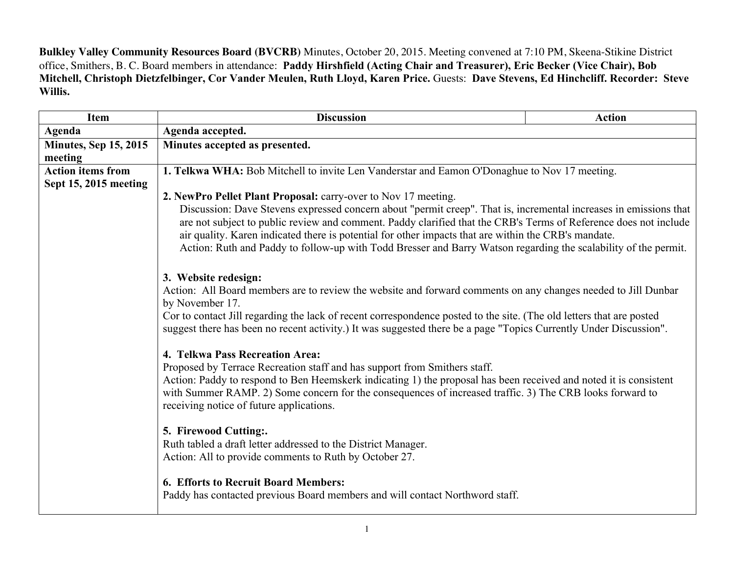**Bulkley Valley Community Resources Board (BVCRB)** Minutes, October 20, 2015. Meeting convened at 7:10 PM, Skeena-Stikine District office, Smithers, B. C. Board members in attendance: **Paddy Hirshfield (Acting Chair and Treasurer), Eric Becker (Vice Chair), Bob Mitchell, Christoph Dietzfelbinger, Cor Vander Meulen, Ruth Lloyd, Karen Price.** Guests: **Dave Stevens, Ed Hinchcliff. Recorder: Steve Willis.**

| <b>Item</b>                  | <b>Discussion</b>                                                                                                                                                                                                                                                                                                                                                                                                                                                                                                                                                                                                                                                                                                                                                                                                                                                                                                                                                              | <b>Action</b> |  |
|------------------------------|--------------------------------------------------------------------------------------------------------------------------------------------------------------------------------------------------------------------------------------------------------------------------------------------------------------------------------------------------------------------------------------------------------------------------------------------------------------------------------------------------------------------------------------------------------------------------------------------------------------------------------------------------------------------------------------------------------------------------------------------------------------------------------------------------------------------------------------------------------------------------------------------------------------------------------------------------------------------------------|---------------|--|
| Agenda                       | Agenda accepted.                                                                                                                                                                                                                                                                                                                                                                                                                                                                                                                                                                                                                                                                                                                                                                                                                                                                                                                                                               |               |  |
| <b>Minutes, Sep 15, 2015</b> | Minutes accepted as presented.                                                                                                                                                                                                                                                                                                                                                                                                                                                                                                                                                                                                                                                                                                                                                                                                                                                                                                                                                 |               |  |
| meeting                      |                                                                                                                                                                                                                                                                                                                                                                                                                                                                                                                                                                                                                                                                                                                                                                                                                                                                                                                                                                                |               |  |
| <b>Action items from</b>     | 1. Telkwa WHA: Bob Mitchell to invite Len Vanderstar and Eamon O'Donaghue to Nov 17 meeting.                                                                                                                                                                                                                                                                                                                                                                                                                                                                                                                                                                                                                                                                                                                                                                                                                                                                                   |               |  |
| Sept 15, 2015 meeting        |                                                                                                                                                                                                                                                                                                                                                                                                                                                                                                                                                                                                                                                                                                                                                                                                                                                                                                                                                                                |               |  |
|                              | 2. NewPro Pellet Plant Proposal: carry-over to Nov 17 meeting.<br>Discussion: Dave Stevens expressed concern about "permit creep". That is, incremental increases in emissions that<br>are not subject to public review and comment. Paddy clarified that the CRB's Terms of Reference does not include<br>air quality. Karen indicated there is potential for other impacts that are within the CRB's mandate.<br>Action: Ruth and Paddy to follow-up with Todd Bresser and Barry Watson regarding the scalability of the permit.<br>3. Website redesign:<br>Action: All Board members are to review the website and forward comments on any changes needed to Jill Dunbar<br>by November 17.<br>Cor to contact Jill regarding the lack of recent correspondence posted to the site. (The old letters that are posted<br>suggest there has been no recent activity.) It was suggested there be a page "Topics Currently Under Discussion".<br>4. Telkwa Pass Recreation Area: |               |  |
|                              |                                                                                                                                                                                                                                                                                                                                                                                                                                                                                                                                                                                                                                                                                                                                                                                                                                                                                                                                                                                |               |  |
|                              |                                                                                                                                                                                                                                                                                                                                                                                                                                                                                                                                                                                                                                                                                                                                                                                                                                                                                                                                                                                |               |  |
|                              |                                                                                                                                                                                                                                                                                                                                                                                                                                                                                                                                                                                                                                                                                                                                                                                                                                                                                                                                                                                |               |  |
|                              |                                                                                                                                                                                                                                                                                                                                                                                                                                                                                                                                                                                                                                                                                                                                                                                                                                                                                                                                                                                |               |  |
|                              |                                                                                                                                                                                                                                                                                                                                                                                                                                                                                                                                                                                                                                                                                                                                                                                                                                                                                                                                                                                |               |  |
|                              |                                                                                                                                                                                                                                                                                                                                                                                                                                                                                                                                                                                                                                                                                                                                                                                                                                                                                                                                                                                |               |  |
|                              |                                                                                                                                                                                                                                                                                                                                                                                                                                                                                                                                                                                                                                                                                                                                                                                                                                                                                                                                                                                |               |  |
|                              |                                                                                                                                                                                                                                                                                                                                                                                                                                                                                                                                                                                                                                                                                                                                                                                                                                                                                                                                                                                |               |  |
|                              |                                                                                                                                                                                                                                                                                                                                                                                                                                                                                                                                                                                                                                                                                                                                                                                                                                                                                                                                                                                |               |  |
|                              |                                                                                                                                                                                                                                                                                                                                                                                                                                                                                                                                                                                                                                                                                                                                                                                                                                                                                                                                                                                |               |  |
|                              |                                                                                                                                                                                                                                                                                                                                                                                                                                                                                                                                                                                                                                                                                                                                                                                                                                                                                                                                                                                |               |  |
|                              | Proposed by Terrace Recreation staff and has support from Smithers staff.<br>Action: Paddy to respond to Ben Heemskerk indicating 1) the proposal has been received and noted it is consistent                                                                                                                                                                                                                                                                                                                                                                                                                                                                                                                                                                                                                                                                                                                                                                                 |               |  |
|                              | with Summer RAMP. 2) Some concern for the consequences of increased traffic. 3) The CRB looks forward to                                                                                                                                                                                                                                                                                                                                                                                                                                                                                                                                                                                                                                                                                                                                                                                                                                                                       |               |  |
|                              | receiving notice of future applications.                                                                                                                                                                                                                                                                                                                                                                                                                                                                                                                                                                                                                                                                                                                                                                                                                                                                                                                                       |               |  |
|                              |                                                                                                                                                                                                                                                                                                                                                                                                                                                                                                                                                                                                                                                                                                                                                                                                                                                                                                                                                                                |               |  |
|                              | 5. Firewood Cutting:.                                                                                                                                                                                                                                                                                                                                                                                                                                                                                                                                                                                                                                                                                                                                                                                                                                                                                                                                                          |               |  |
|                              | Ruth tabled a draft letter addressed to the District Manager.                                                                                                                                                                                                                                                                                                                                                                                                                                                                                                                                                                                                                                                                                                                                                                                                                                                                                                                  |               |  |
|                              | Action: All to provide comments to Ruth by October 27.                                                                                                                                                                                                                                                                                                                                                                                                                                                                                                                                                                                                                                                                                                                                                                                                                                                                                                                         |               |  |
|                              |                                                                                                                                                                                                                                                                                                                                                                                                                                                                                                                                                                                                                                                                                                                                                                                                                                                                                                                                                                                |               |  |
|                              | <b>6. Efforts to Recruit Board Members:</b>                                                                                                                                                                                                                                                                                                                                                                                                                                                                                                                                                                                                                                                                                                                                                                                                                                                                                                                                    |               |  |
|                              | Paddy has contacted previous Board members and will contact Northword staff.                                                                                                                                                                                                                                                                                                                                                                                                                                                                                                                                                                                                                                                                                                                                                                                                                                                                                                   |               |  |